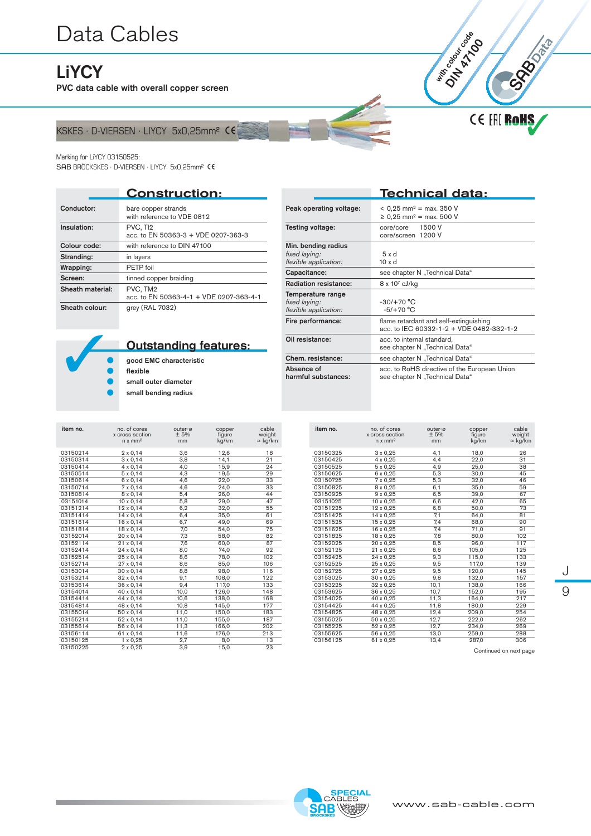# [Data Cables](https://www.sab-cable.com/cables-wires-harnessing-temperature-measurement/electrical-cables-and-wires/data-cables.html)<br>
Livey<br>
P<sup>VC</sup> data cable with averall connect comes

**LiYCY** 

PVC data cable with overall copper screen

### KSKES · D-VIERSEN · LIYCY 5x0,25mm<sup>2</sup> CE

#### Marking for LiYCY 03150525:

SAB BRÖCKSKES · D-VIERSEN · LIYCY 5x0,25mm<sup>2</sup> CE

|                  | <b>Construction:</b>                                |
|------------------|-----------------------------------------------------|
| Conductor:       | bare copper strands<br>with reference to VDE 0812   |
| Insulation:      | PVC, TI2<br>acc. to EN 50363-3 + VDE 0207-363-3     |
| Colour code:     | with reference to DIN 47100                         |
| Stranding:       | in layers                                           |
| Wrapping:        | PETP foil                                           |
| Screen:          | tinned copper braiding                              |
| Sheath material: | PVC, TM2<br>acc. to EN 50363-4-1 + VDE 0207-363-4-1 |
| Sheath colour:   | grey (RAL 7032)                                     |

|                                                               | Technical data:                                                                    |
|---------------------------------------------------------------|------------------------------------------------------------------------------------|
| Peak operating voltage:                                       | $<$ 0,25 mm <sup>2</sup> = max. 350 V<br>≥ 0,25 mm <sup>2</sup> = max. 500 V       |
| Testing voltage:                                              | core/core 1500 V<br>core/screen 1200 V                                             |
| Min. bending radius<br>fixed laying:<br>flexible application: | $5 \times d$<br>$10 \times d$                                                      |
| Capacitance:                                                  | see chapter N "Technical Data"                                                     |
| <b>Radiation resistance:</b>                                  | $8 \times 10^7$ cJ/kg                                                              |
| Temperature range<br>fixed laying:<br>flexible application:   | $-30/+70 °C$<br>$-5/+70 °C$                                                        |
| Fire performance:                                             | flame retardant and self-extinguishing<br>acc. to IEC 60332-1-2 + VDE 0482-332-1-2 |
| Oil resistance:                                               | acc. to internal standard,<br>see chapter N "Technical Data"                       |
| Chem. resistance:                                             | see chapter N "Technical Data"                                                     |
| Absence of<br>harmful substances:                             | acc. to RoHS directive of the European Union<br>see chapter N "Technical Data"     |

## Outstanding features:

 **●** good EMC characteristic **●** flexible **●** small outer diameter small bending radius

| item no. | no. of cores<br>x cross section<br>$n \times mm^2$ | outer-ø<br>± 5%<br>mm | copper<br>figure<br>kg/km | cable<br>weight<br>$\approx$ kg/km |
|----------|----------------------------------------------------|-----------------------|---------------------------|------------------------------------|
| 03150214 | $2 \times 0,14$                                    | 3,6                   | 12,6                      | 18                                 |
| 03150314 | $3 \times 0,14$                                    | 3,8                   | 14,1                      | 21                                 |
| 03150414 | $4 \times 0,14$                                    | 4,0                   | 15,9                      | 24                                 |
| 03150514 | $5 \times 0,14$                                    | 4,3                   | 19,5                      | 29                                 |
| 03150614 | 6 x 0,14                                           | 4,6                   | 22,0                      | 33                                 |
| 03150714 | $7 \times 0,14$                                    | 4,6                   | 24,0                      | 33                                 |
| 03150814 | $8 \times 0,14$                                    | 5,4                   | 26,0                      | 44                                 |
| 03151014 | $10 \times 0.14$                                   | 5,8                   | 29,0                      | 47                                 |
| 03151214 | 12 x 0,14                                          | 6,2                   | 32,0                      | 55                                 |
| 03151414 | $14 \times 0,14$                                   | 6,4                   | 35,0                      | 61                                 |
| 03151614 | 16 x 0.14                                          | 6,7                   | 49.0                      | 69                                 |
| 03151814 | 18 x 0,14                                          | 7,0                   | 54,0                      | 75                                 |
| 03152014 | 20 x 0,14                                          | 7,3                   | 58,0                      | 82                                 |
| 03152114 | $21 \times 0,14$                                   | 7,6                   | 60,0                      | 87                                 |
| 03152414 | $24 \times 0,14$                                   | 8,0                   | 74,0                      | 92                                 |
| 03152514 | 25 x 0,14                                          | 8,6                   | 78,0                      | 102                                |
| 03152714 | 27 x 0.14                                          | 8,6                   | 85,0                      | 106                                |
| 03153014 | $30 \times 0,14$                                   | 8,8                   | 98,0                      | 116                                |
| 03153214 | 32 x 0,14                                          | 9,1                   | 108,0                     | 122                                |
| 03153614 | $36 \times 0,14$                                   | 9,4                   | 117,0                     | 133                                |
| 03154014 | 40 x 0,14                                          | 10,0                  | 126,0                     | 148                                |
| 03154414 | 44 x 0,14                                          | 10,6                  | 138,0                     | 168                                |
| 03154814 | 48 x 0,14                                          | 10,8                  | 145,0                     | 177                                |
| 03155014 | 50 x 0,14                                          | 11,0                  | 150,0                     | 183                                |
| 03155214 | $52 \times 0,14$                                   | 11,0                  | 155,0                     | 187                                |
| 03155614 | 56 x 0,14                                          | 11,3                  | 166,0                     | 202                                |
| 03156114 | 61 x 0,14                                          | 11,6                  | 176,0                     | 213                                |
| 03150125 | $1 \times 0.25$                                    | 2,7                   | 8,0                       | 13                                 |
| 03150225 | $2 \times 0.25$                                    | 3,9                   | 15,0                      | 23                                 |

| item no. | no. of cores<br>x cross section<br>$n \times mm2$ | outer-ø<br>± 5%<br>mm | copper<br>figure<br>kg/km | cable<br>weight<br>$\approx$ kg/km |
|----------|---------------------------------------------------|-----------------------|---------------------------|------------------------------------|
| 03150325 | 3 x 0,25                                          | 4,1                   | 18,0                      | 26                                 |
| 03150425 | 4 x 0.25                                          | 4.4                   | 22,0                      | 31                                 |
| 03150525 | $5 \times 0,25$                                   | 4,9                   | 25,0                      | 38                                 |
| 03150625 | 6 x 0,25                                          | 5,3                   | 30,0                      | 45                                 |
| 03150725 | 7 x 0,25                                          | 5,3                   | 32,0                      | 46                                 |
| 03150825 | 8 x 0,25                                          | 6,1                   | 35,0                      | 59                                 |
| 03150925 | 9 x 0,25                                          | 6,5                   | 39,0                      | 67                                 |
| 03151025 | 10 x 0,25                                         | 6,6                   | 42,0                      | 65                                 |
| 03151225 | 12 x 0,25                                         | 6,8                   | 50,0                      | 73                                 |
| 03151425 | 14 x 0,25                                         | 7,1                   | 64,0                      | 81                                 |
| 03151525 | 15 x 0,25                                         | 7,4                   | 68,0                      | 90                                 |
| 03151625 | 16 x 0,25                                         | 7,4                   | 71,0                      | 91                                 |
| 03151825 | 18 x 0,25                                         | 7,8                   | 80,0                      | 102                                |
| 03152025 | 20 x 0.25                                         | 8,5                   | 96,0                      | 117                                |
| 03152125 | 21 x 0,25                                         | 8,8                   | 105,0                     | 125                                |
| 03152425 | 24 x 0,25                                         | 9,3                   | 115,0                     | 133                                |
| 03152525 | 25 x 0.25                                         | 9,5                   | 117,0                     | 139                                |
| 03152725 | 27 x 0,25                                         | 9,5                   | 120,0                     | 145                                |
| 03153025 | 30 x 0,25                                         | 9,8                   | 132,0                     | 157                                |
| 03153225 | 32 x 0,25                                         | 10,1                  | 138,0                     | 166                                |
| 03153625 | 36 x 0,25                                         | 10,7                  | 152,0                     | 195                                |
| 03154025 | 40 x 0,25                                         | 11,3                  | 164,0                     | 217                                |
| 03154425 | 44 x 0.25                                         | 11.8                  | 180.0                     | 229                                |
| 03154825 | 48 x 0,25                                         | 12,4                  | 209,0                     | 254                                |
| 03155025 | 50 x 0,25                                         | 12,7                  | 222,0                     | 262                                |
| 03155225 | 52 x 0,25                                         | 12,7                  | 234,0                     | 269                                |
| 03155625 | 56 x 0,25                                         | 13,0                  | 259,0                     | 288                                |
| 03156125 | 61 x 0,25                                         | 13,4                  | 287,0                     | 306                                |

Continued on next page

J 9

**CE EHE ROHS** 

**COLES**